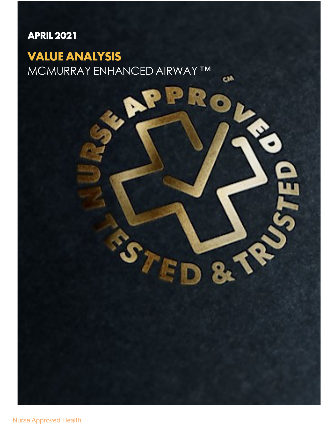### **APRIL2021**

## **VALUE ANALYSIS**

MCMURRAY ENHANCED AIRWAY ™

**CIA** 

ዬ້

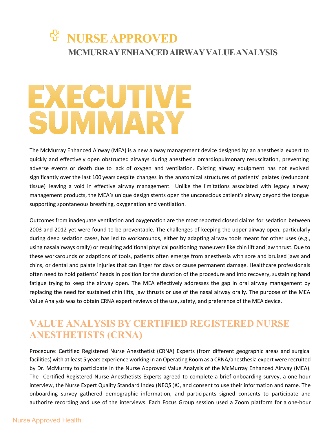## *W* NURSE APPROVED **MCMURRAYENHANCEDAIRWAYVALUEANALYSIS**

## EXECUTIVE SUMMARY

The McMurray Enhanced Airway (MEA) is a new airway management device designed by an anesthesia expert to quickly and effectively open obstructed airways during anesthesia orcardiopulmonary resuscitation, preventing adverse events or death due to lack of oxygen and ventilation. Existing airway equipment has not evolved significantly over the last 100 years despite changes in the anatomical structures of patients' palates (redundant tissue) leaving a void in effective airway management. Unlike the limitations associated with legacy airway management products, the MEA's unique design stents open the unconscious patient's airway beyond the tongue supporting spontaneous breathing, oxygenation and ventilation.

Outcomes from inadequate ventilation and oxygenation are the most reported closed claims for sedation between 2003 and 2012 yet were found to be preventable. The challenges of keeping the upper airway open, particularly during deep sedation cases, has led to workarounds, either by adapting airway tools meant for other uses (e.g., using nasalairways orally) or requiring additional physical positioning maneuvers like chin lift and jaw thrust. Due to these workarounds or adaptions of tools, patients often emerge from anesthesia with sore and bruised jaws and chins, or dental and palate injuries that can linger for days or cause permanent damage. Healthcare professionals often need to hold patients' heads in position for the duration of the procedure and into recovery, sustaining hand fatigue trying to keep the airway open. The MEA effectively addresses the gap in oral airway management by replacing the need for sustained chin lifts, jaw thrusts or use of the nasal airway orally. The purpose of the MEA Value Analysis was to obtain CRNA expert reviews of the use, safety, and preference of the MEA device.

### **VALUE ANALYSIS BY CERTIFIED REGISTERED NURSE ANESTHETISTS (CRNA)**

Procedure: Certified Registered Nurse Anesthetist (CRNA) Experts (from different geographic areas and surgical facilities) with at least 5 years experience working in an Operating Room as a CRNA/anesthesia expert were recruited by Dr. McMurray to participate in the Nurse Approved Value Analysis of the McMurray Enhanced Airway (MEA). The Certified Registered Nurse Anesthetists Experts agreed to complete a brief onboarding survey, a one-hour interview, the Nurse Expert Quality Standard Index (NEQSI)©, and consent to use their information and name. The onboarding survey gathered demographic information, and participants signed consents to participate and authorize recording and use of the interviews. Each Focus Group session used a Zoom platform for a one-hour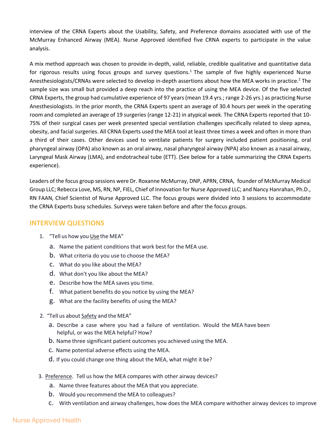interview of the CRNA Experts about the Usability, Safety, and Preference domains associated with use of the McMurray Enhanced Airway (MEA). Nurse Approved identified five CRNA experts to participate in the value analysis.

A mix method approach was chosen to provide in-depth, valid, reliable, credible qualitative and quantitative data for rigorous results using focus groups and survey questions.<sup>1</sup> The sample of five highly experienced Nurse Anesthesiologists/CRNAs were selected to develop in-depth assertions about how the MEA works in practice.<sup>2</sup> The sample size was small but provided a deep reach into the practice of using the MEA device. Of the five selected CRNA Experts, the group had cumulative experience of 97 years (mean 19.4 yrs.; range 2-26 yrs.) as practicing Nurse Anesthesiologists. In the prior month, the CRNA Experts spent an average of 30.4 hours per week in the operating room and completed an average of 19 surgeries (range 12-21) in atypical week. The CRNA Experts reported that 10- 75% of their surgical cases per week presented special ventilation challenges specifically related to sleep apnea, obesity, and facial surgeries. All CRNA Experts used the MEA tool at least three times a week and often in more than a third of their cases. Other devices used to ventilate patients for surgery included patient positioning, oral pharyngeal airway (OPA) also known as an oral airway, nasal pharyngeal airway (NPA) also known as a nasal airway, Laryngeal Mask Airway (LMA), and endotracheal tube (ETT). (See below for a table summarizing the CRNA Experts experience).

Leaders of the focus group sessions were Dr. Roxanne McMurray, DNP, APRN, CRNA, founder of McMurray Medical Group LLC; Rebecca Love, MS, RN, NP, FIEL, Chief of Innovation for Nurse Approved LLC; and Nancy Hanrahan, Ph.D., RN FAAN, Chief Scientist of Nurse Approved LLC. The focus groups were divided into 3 sessions to accommodate the CRNA Experts busy schedules. Surveys were taken before and after the focus groups.

#### **INTERVIEW QUESTIONS**

- 1. "Tell us how you Use the MEA"
	- a. Name the patient conditions that work best for the MEA use.
	- b. What criteria do you use to choose the MEA?
	- c. What do you like about the MEA?
	- d. What don't you like about the MEA?
	- e. Describe how the MEA saves you time.
	- f. What patient benefits do you notice by using the MEA?
	- g. What are the facility benefits of using the MEA?
- 2. "Tell us about Safety and the MEA"
	- a. Describe a case where you had a failure of ventilation. Would the MEA have been helpful, or was the MEA helpful? How?
	- b. Name three significant patient outcomes you achieved using the MEA.
	- c. Name potential adverse effects using the MEA.
	- d. If you could change one thing about the MEA, what might it be?
- 3. Preference. Tell us how the MEA compares with other airway devices?
	- a. Name three features about the MEA that you appreciate.
	- b. Would you recommend the MEA to colleagues?
	- c. With ventilation and airway challenges, how doesthe MEA compare withother airway devices to improve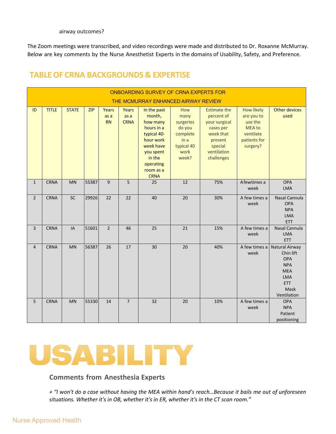airway outcomes?

The Zoom meetings were transcribed, and video recordings were made and distributed to Dr. Roxanne McMurray. Below are key comments by the Nurse Anesthetist Experts in the domains of Usability, Safety, and Preference.

#### **TABLE OF CRNA BACKGROUNDS & EXPERTISE**

| ONBOARDING SURVEY OF CRNA EXPERTS FOR<br>THE MCMURRAY ENHANCED AIRWAY REVIEW |              |              |            |                            |                              |                                                                                                                                                          |                                                                                       |                                                                                                                                 |                                                                                               |                                                                                                                   |
|------------------------------------------------------------------------------|--------------|--------------|------------|----------------------------|------------------------------|----------------------------------------------------------------------------------------------------------------------------------------------------------|---------------------------------------------------------------------------------------|---------------------------------------------------------------------------------------------------------------------------------|-----------------------------------------------------------------------------------------------|-------------------------------------------------------------------------------------------------------------------|
| ID                                                                           | <b>TITLE</b> | <b>STATE</b> | <b>ZIP</b> | Years<br>as a<br><b>RN</b> | Years<br>as a<br><b>CRNA</b> | In the past<br>month,<br>how many<br>hours in a<br>typical 40-<br>hour work<br>week have<br>you spent<br>in the<br>operating<br>room as a<br><b>CRNA</b> | How<br>many<br>surgeries<br>do you<br>complete<br>in a<br>typical 40<br>work<br>week? | <b>Estimate the</b><br>percent of<br>your surgical<br>cases per<br>week that<br>present<br>special<br>ventilation<br>challenges | How likely<br>are you to<br>use the<br><b>MEA to</b><br>ventilate<br>patients for<br>surgery? | <b>Other devices</b><br>used                                                                                      |
| $\mathbf{1}$                                                                 | <b>CRNA</b>  | MN           | 55387      | $\overline{9}$             | 5                            | 25                                                                                                                                                       | 12                                                                                    | 75%                                                                                                                             | A fewtimes a<br>week                                                                          | <b>OPA</b><br><b>LMA</b>                                                                                          |
| $\overline{2}$                                                               | <b>CRNA</b>  | SC           | 29926      | 22                         | 22                           | 40                                                                                                                                                       | 20                                                                                    | 30%                                                                                                                             | A few times a<br>week                                                                         | Nasal Cannula<br><b>OPA</b><br><b>NPA</b><br><b>LMA</b><br><b>ETT</b>                                             |
| $\overline{3}$                                                               | <b>CRNA</b>  | IA           | 51601      | $\overline{2}$             | 46                           | 25                                                                                                                                                       | 21                                                                                    | 15%                                                                                                                             | A few times a<br>week                                                                         | Nasal Cannula<br><b>LMA</b><br><b>ETT</b>                                                                         |
| $\overline{4}$                                                               | <b>CRNA</b>  | MN           | 56387      | 26                         | 17                           | 30                                                                                                                                                       | 20                                                                                    | 40%                                                                                                                             | A few times a<br>week                                                                         | Natural Airway<br>Chin lift<br>OPA<br><b>NPA</b><br><b>MEA</b><br><b>LMA</b><br><b>ETT</b><br>Mask<br>Ventilation |
| 5                                                                            | <b>CRNA</b>  | <b>MN</b>    | 55330      | 14                         | $\overline{7}$               | 32                                                                                                                                                       | 20                                                                                    | 10%                                                                                                                             | A few times a<br>week                                                                         | <b>OPA</b><br><b>NPA</b><br>Patient<br>positioning                                                                |



#### **Comments from Anesthesia Experts**

*+ "I won't do a case without having the MEA within hand's reach…Because it bails me out of unforeseen situations. Whether it's in OB, whether it's in ER, whether it's in the CT scan room."*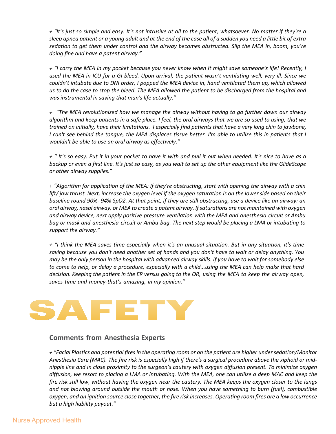*+ "It's just so simple and easy. It's not intrusive at all to the patient, whatsoever. No matter if they're a sleep apnea patient or a young adult and at the end of the case all of a sudden you need a little bit of extra sedation to get them under control and the airway becomes obstructed. Slip the MEA in, boom, you're doing fine and have a patent airway."*

*+ "I carry the MEA in my pocket because you never know when it might save someone's life! Recently, I used the MEA in ICU for a GI bleed. Upon arrival, the patient wasn't ventilating well, very ill. Since we couldn't intubate due to DNI order, I popped the MEA device in, hand ventilated them up, which allowed us to do the case to stop the bleed. The MEA allowed the patient to be discharged from the hospital and was instrumental in saving that man's life actually."*

*+* "*The MEA revolutionized how we manage the airway without having to go further down our airway algorithm and keep patients in a safe place. I feel, the oral airways that we are so used to using, that we trained on initially, have their limitations. I especially find patients that have a very long chin to jawbone, I can't see behind the tongue, the MEA displaces tissue better. I'm able to utilize this in patients that I wouldn't be able to use an oral airway as effectively."*

*+ " It's so easy. Put it in your pocket to have it with and pull it out when needed. It's nice to have as a backup or even a first line. It's just so easy, as you wait to set up the other equipment like the GlideScope or other airway supplies.*"

+ *"Algorithm for application of the MEA: If they're obstructing, start with opening the airway with a chin lift/ jaw thrust. Next, increase the oxygen level if the oxygen saturation is on the lower side based on their baseline round 90%- 94% SpO2. At that point, if they are still obstructing, use a device like an airway: an oral airway, nasal airway, or MEA to create a patent airway. If saturations are not maintained with oxygen and airway device, next apply positive pressure ventilation with the MEA and anesthesia circuit or Ambu bag or mask and anesthesia circuit or Ambu bag. The next step would be placing a LMA or intubating to support the airway."*

*+ "I think the MEA saves time especially when it's an unusual situation. But in any situation, it's time saving because you don't need another set of hands and you don't have to wait or delay anything. You may be the only person in the hospital with advanced airway skills. If you have to wait for somebody else to come to help, or delay a procedure, especially with a child...using the MEA can help make that hard decision. Keeping the patient in the ER versus going to the OR, using the MEA to keep the airway open, saves time and money-that's amazing, in my opinion."*



#### **Comments from Anesthesia Experts**

*+ "Facial Plastics and potential fires in the operating room or on the patient are higher undersedation/Monitor Anesthesia Care (MAC). The fire risk is especially high if there's a surgical procedure above the xiphoid or midnipple line and in close proximity to the surgeon's cautery with oxygen diffusion present. To minimize oxygen diffusion, we resort to placing a LMA or intubating. With the MEA, one can utilize a deep MAC and keep the fire risk still low, without having the oxygen near the cautery. The MEA keeps the oxygen closer to the lungs and not blowing around outside the mouth or nose. When you have something to burn (fuel), combustible* oxygen, and an ignition source close together, the fire risk increases. Operating room fires are a low occurrence *but a high liability payout."*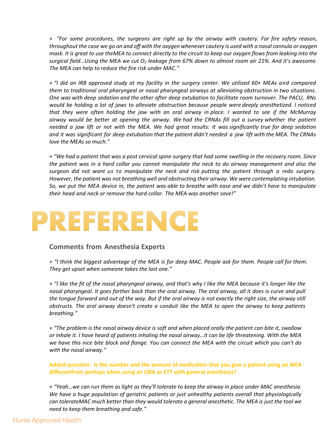+ "For some procedures, the surgeons are right up by the airway with cautery. For fire safety reason, *throughout the case we go on and off with the oxygen whenever cautery is used with a nasal cannula or oxygen mask. It is great to use theMEA to connect directly to the circuit to keep our oxygen flows from leaking into the surgical field…Using the MEA we cut O2 leakage from 67% down to almost room air 21%. And it's awesome. The MEA can help to reduce the fire risk under MAC."*

+ "I did an IRB approved study at my facility in the surgery center. We utilized 60+ MEAs and compared *them to traditional oral pharyngeal or nasal pharyngeal airways at alleviating obstruction in two situations. One was with deep sedation and the other after deep extubation to facilitate room turnover. The PACU, RNs* would be holding a lot of jaws to alleviate obstruction because people were deeply anesthetized. I noticed that they were often holding the jaw with an oral airway in place. I wanted to see if the McMurray airway would be better at opening the airway. We had the CRNAs fill out a survey whether the patient needed a jaw lift or not with the MEA. We had great results: It was significantly true for deep sedation *and it was significant for deep extubation that the patient didn't needed a jaw lift with the MEA. The CRNAs love the MEAs so much."*

+ "We had a patient that was a post cervical spine surgery that had some swelling in the recovery room. Since *the patient was in a hard collar you cannot manipulate the neck to do airway management and also the surgeon did not want us to manipulate the neck and risk putting the patient through a redo surgery. However, the patient was not breathing well and obstructing their airway. We were contemplating intubation.*  So, we put the MEA device in, the patient was able to breathe with ease and we didn't have to manipulate *their head and neck or remove the hard collar. The MEA was another save!"*

## PREFERENCE

#### **Comments from Anesthesia Experts**

+ "I think the biggest advantage of the MEA is for deep MAC. People ask for them. People call for them. *They get upset when someone takes the last one."*

*+ "I like the fit of the nasal pharyngeal airway, and that's why I like the MEA because it's longer like the nasal pharyngeal. It goes farther back than the oral airway. The oral airway, all it does is curve and pull the tongue forward and out of the way. But if the oral airway is not exactly the right size, the airway still obstructs. The oral airway doesn't create a conduit like the MEA to open the airway to keep patients breathing."*

*+ "The problem is the nasal airway device is soft and when placed orally the patient can bite it, swallow or inhale it. I have heard of patients inhaling the nasal airway…it can be life threatening. With the MEA we have this nice bite block and flange. You can connect the MEA with the circuit which you can't do with the nasal airway."*

**Added question: Is the number and the amount of medication that you give a patient using an MEA differentfrom perhaps when using an LMA or ETT with general anesthesia?** 

*+ "Yeah…we can run them as light as they'll tolerate to keep the airway in place under MAC anesthesia. We have a huge population of geriatric patients or just unhealthy patients overall that physiologically can tolerateMAC much better than they would tolerate a general anesthetic. The MEA is just the tool we need to keep them breathing and safe."*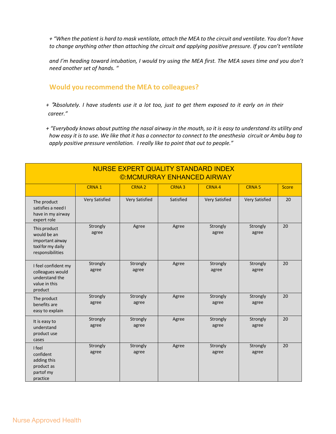*+ "When the patient is hard to mask ventilate, attach the MEA to the circuit and ventilate. You don't have to change anything other than attaching the circuit and applying positive pressure. If you can't ventilate* 

*and I'm heading toward intubation, I would try using the MEA first. The MEA saves time and you don't need another set of hands. "*

#### **Would you recommend the MEA to colleagues?**

*+* !*Absolutely. I have students use it a lot too, just to get them exposed to it early on in their career."*

*+ "Everybody knows about putting the nasal airway in the mouth, so it is easy to understand its utility and how easy it is to use. We like that it has a connector to connect to the anesthesia circuit or Ambu bag to apply positive pressure ventilation. I really like to point that out to people."*

| NURSE EXPERT QUALITY STANDARD INDEX<br><b>©:MCMURRAY ENHANCED AIRWAY</b>                 |                   |                       |                   |                       |                       |              |  |  |
|------------------------------------------------------------------------------------------|-------------------|-----------------------|-------------------|-----------------------|-----------------------|--------------|--|--|
|                                                                                          | CRNA <sub>1</sub> | CRNA <sub>2</sub>     | CRNA <sub>3</sub> | CRNA4                 | <b>CRNA5</b>          | <b>Score</b> |  |  |
| The product<br>satisfies a need I<br>have in my airway<br>expert role                    | Very Satisfied    | <b>Very Satisfied</b> | Satisfied         | <b>Very Satisfied</b> | <b>Very Satisfied</b> | 20           |  |  |
| This product<br>would be an<br>important airway<br>tool for my daily<br>responsibilities | Strongly<br>agree | Agree                 | Agree             | Strongly<br>agree     | Strongly<br>agree     | 20           |  |  |
| I feel confident my<br>colleagues would<br>understand the<br>value in this<br>product    | Strongly<br>agree | Strongly<br>agree     | Agree             | Strongly<br>agree     | Strongly<br>agree     | 20           |  |  |
| The product<br>benefits are<br>easy to explain                                           | Strongly<br>agree | Strongly<br>agree     | Agree             | Strongly<br>agree     | Strongly<br>agree     | 20           |  |  |
| It is easy to<br>understand<br>product use<br>cases                                      | Strongly<br>agree | Strongly<br>agree     | Agree             | Strongly<br>agree     | Strongly<br>agree     | 20           |  |  |
| I feel<br>confident<br>adding this<br>product as<br>partof my<br>practice                | Strongly<br>agree | Strongly<br>agree     | Agree             | Strongly<br>agree     | Strongly<br>agree     | 20           |  |  |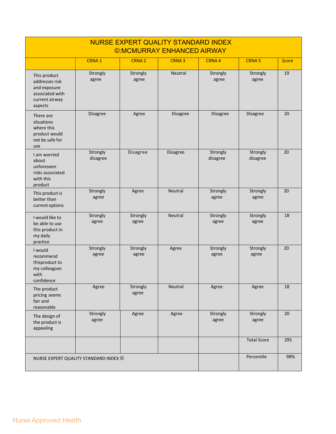| NURSE EXPERT QUALITY STANDARD INDEX<br><b>©:MCMURRAY ENHANCED AIRWAY</b>                       |                                       |                   |                   |                      |                      |              |  |
|------------------------------------------------------------------------------------------------|---------------------------------------|-------------------|-------------------|----------------------|----------------------|--------------|--|
|                                                                                                | CRNA <sub>1</sub>                     | CRNA <sub>2</sub> | CRNA <sub>3</sub> | CRNA4                | <b>CRNA5</b>         | <b>Score</b> |  |
| This product<br>addresses risk<br>and exposure<br>associated with<br>current airway<br>aspects | Strongly<br>agree                     | Strongly<br>agree | Neutral           | Strongly<br>agree    | Strongly<br>agree    | 19           |  |
| There are<br>situations<br>where this<br>product would<br>not be safe for<br>use               | Disagree                              | Agree             | <b>Disagree</b>   | <b>Disagree</b>      | <b>Disagree</b>      | 20           |  |
| I am worried<br>about<br>unforeseen<br>risks associated<br>with this<br>product                | Strongly<br>disagree                  | Disagree          | <b>Disagree</b>   | Strongly<br>disagree | Strongly<br>disagree | 20           |  |
| This product is<br>better than<br>current options                                              | Strongly<br>agree                     | Agree             | <b>Neutral</b>    | Strongly<br>agree    | Strongly<br>agree    | 20           |  |
| I would like to<br>be able to use<br>this product in<br>my daily<br>practice                   | Strongly<br>agree                     | Strongly<br>agree | <b>Neutral</b>    | Strongly<br>agree    | Strongly<br>agree    | 18           |  |
| I would<br>recommend<br>thisproduct to<br>my colleagues<br>with<br>confidence                  | Strongly<br>agree                     | Strongly<br>agree | Agree             | Strongly<br>agree    | Strongly<br>agree    | 20           |  |
| The product<br>pricing seems<br>fair and<br>reasonable                                         | Agree                                 | Strongly<br>agree | Neutral           | Agree                | Agree                | 18           |  |
| The design of<br>the product is<br>appealing                                                   | Strongly<br>agree                     | Agree             | Agree             | Strongly<br>agree    | Strongly<br>agree    | 20           |  |
|                                                                                                |                                       |                   |                   |                      | <b>Total Score</b>   | 295          |  |
|                                                                                                | NURSE EXPERT QUALITY STANDARD INDEX © |                   |                   |                      | Percentile           | 98%          |  |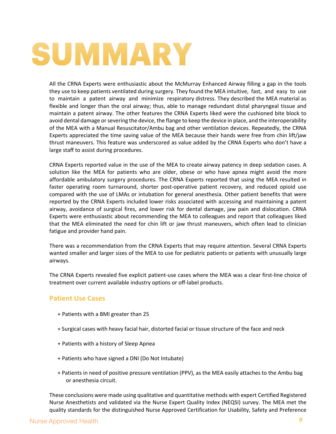# SUMMARY

All the CRNA Experts were enthusiastic about the McMurray Enhanced Airway filling a gap in the tools they use to keep patients ventilated during surgery. They found the MEA intuitive, fast, and easy to use to maintain a patent airway and minimize respiratory distress. They described the MEA material as flexible and longer than the oral airway; thus, able to manage redundant distal pharyngeal tissue and maintain a patent airway. The other features the CRNA Experts liked were the cushioned bite block to avoid dental damage or severing the device, the flange to keep the device in place, and the interoperability of the MEA with a Manual Resuscitator/Ambu bag and other ventilation devices. Repeatedly, the CRNA Experts appreciated the time saving value of the MEA because their hands were free from chin lift/jaw thrust maneuvers. This feature was underscored as value added by the CRNA Experts who don't have a large staff to assist during procedures.

CRNA Experts reported value in the use of the MEA to create airway patency in deep sedation cases. A solution like the MEA for patients who are older, obese or who have apnea might avoid the more affordable ambulatory surgery procedures. The CRNA Experts reported that using the MEA resulted in faster operating room turnaround, shorter post-operative patient recovery, and reduced opioid use compared with the use of LMAs or intubation for general anesthesia. Other patient benefits that were reported by the CRNA Experts included lower risks associated with accessing and maintaining a patent airway, avoidance of surgical fires, and lower risk for dental damage, jaw pain and dislocation. CRNA Experts were enthusiastic about recommending the MEA to colleagues and report that colleagues liked that the MEA eliminated the need for chin lift or jaw thrust maneuvers, which often lead to clinician fatigue and provider hand pain.

There was a recommendation from the CRNA Experts that may require attention. Several CRNA Experts wanted smaller and larger sizes of the MEA to use for pediatric patients or patients with unusually large airways.

The CRNA Experts revealed five explicit patient-use cases where the MEA was a clear first-line choice of treatment over current available industry options or off-label products.

#### **Patient Use Cases**

- + Patients with a BMI greater than 25
- + Surgical cases with heavy facial hair, distorted facial or tissue structure of the face and neck
- + Patients with a history of Sleep Apnea
- + Patients who have signed a DNI (Do Not Intubate)
- + Patients in need of positive pressure ventilation (PPV), as the MEA easily attaches to the Ambu bag or anesthesia circuit.

These conclusions were made using qualitative and quantitative methods with expert Certified Registered Nurse Anesthetists and validated via the Nurse Expert Quality Index (NEQSI) survey. The MEA met the quality standards for the distinguished Nurse Approved Certification for Usability, Safety and Preference